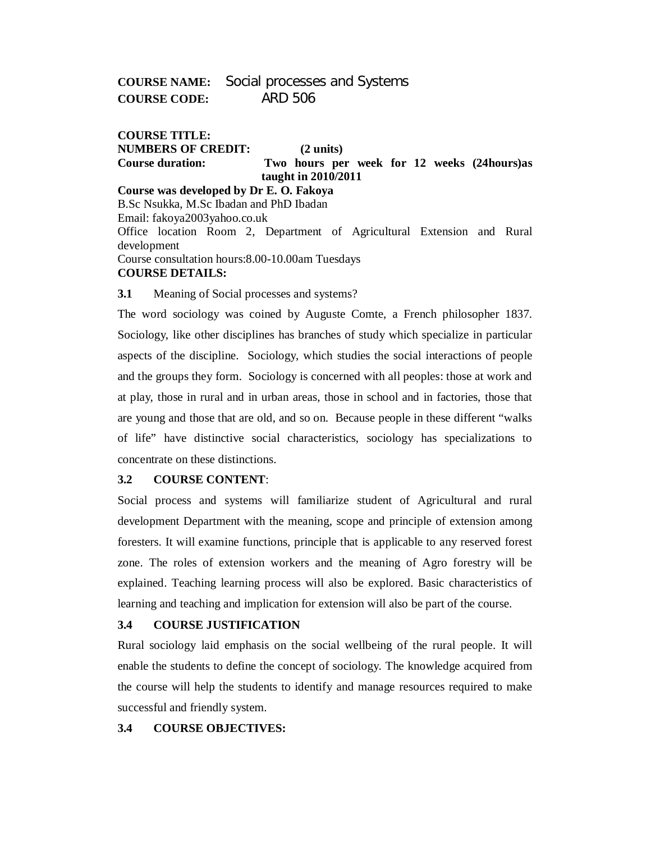**COURSE NAME:** Social processes and Systems **COURSE CODE:** ARD 506

# **COURSE TITLE: NUMBERS OF CREDIT: (2 units) Course duration: Two hours per week for 12 weeks (24hours)as taught in 2010/2011**

**Course was developed by Dr E. O. Fakoya** B.Sc Nsukka, M.Sc Ibadan and PhD Ibadan Email: fakoya2003yahoo.co.uk Office location Room 2, Department of Agricultural Extension and Rural development Course consultation hours:8.00-10.00am Tuesdays **COURSE DETAILS:**

**3.1** Meaning of Social processes and systems?

The word sociology was coined by Auguste Comte, a French philosopher 1837. Sociology, like other disciplines has branches of study which specialize in particular aspects of the discipline. Sociology, which studies the social interactions of people and the groups they form. Sociology is concerned with all peoples: those at work and at play, those in rural and in urban areas, those in school and in factories, those that are young and those that are old, and so on. Because people in these different "walks of life" have distinctive social characteristics, sociology has specializations to concentrate on these distinctions.

## **3.2 COURSE CONTENT**:

Social process and systems will familiarize student of Agricultural and rural development Department with the meaning, scope and principle of extension among foresters. It will examine functions, principle that is applicable to any reserved forest zone. The roles of extension workers and the meaning of Agro forestry will be explained. Teaching learning process will also be explored. Basic characteristics of learning and teaching and implication for extension will also be part of the course.

## **3.4 COURSE JUSTIFICATION**

Rural sociology laid emphasis on the social wellbeing of the rural people. It will enable the students to define the concept of sociology. The knowledge acquired from the course will help the students to identify and manage resources required to make successful and friendly system.

## **3.4 COURSE OBJECTIVES:**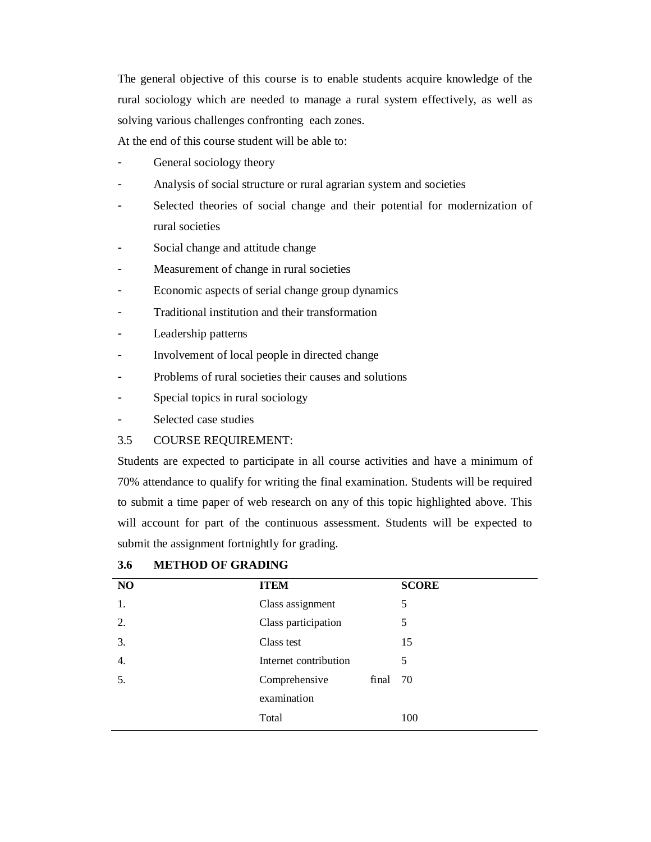The general objective of this course is to enable students acquire knowledge of the rural sociology which are needed to manage a rural system effectively, as well as solving various challenges confronting each zones.

At the end of this course student will be able to:

- General sociology theory
- Analysis of social structure or rural agrarian system and societies
- Selected theories of social change and their potential for modernization of rural societies
- Social change and attitude change
- Measurement of change in rural societies
- Economic aspects of serial change group dynamics
- Traditional institution and their transformation
- Leadership patterns
- Involvement of local people in directed change
- Problems of rural societies their causes and solutions
- Special topics in rural sociology
- Selected case studies

## 3.5 COURSE REQUIREMENT:

Students are expected to participate in all course activities and have a minimum of 70% attendance to qualify for writing the final examination. Students will be required to submit a time paper of web research on any of this topic highlighted above. This will account for part of the continuous assessment. Students will be expected to submit the assignment fortnightly for grading.

| N <sub>O</sub> | <b>ITEM</b>           |          | <b>SCORE</b> |
|----------------|-----------------------|----------|--------------|
| 1.             | Class assignment      |          | 5            |
| 2.             | Class participation   |          | 5            |
| 3.             | Class test            |          | 15           |
| 4.             | Internet contribution |          | 5            |
| 5.             | Comprehensive         | final 70 |              |
|                | examination           |          |              |
|                | Total                 |          | 100          |

#### **3.6 METHOD OF GRADING**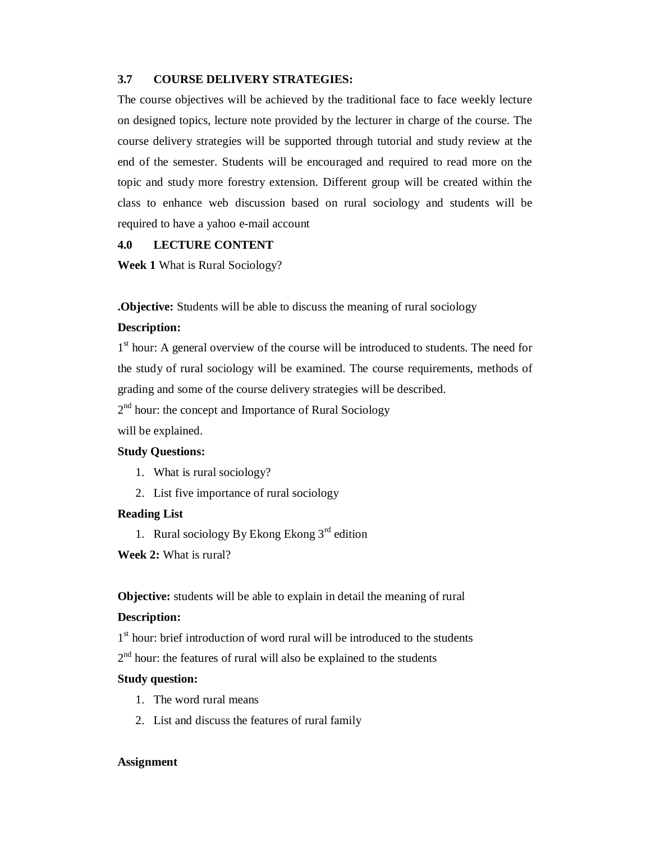## **3.7 COURSE DELIVERY STRATEGIES:**

The course objectives will be achieved by the traditional face to face weekly lecture on designed topics, lecture note provided by the lecturer in charge of the course. The course delivery strategies will be supported through tutorial and study review at the end of the semester. Students will be encouraged and required to read more on the topic and study more forestry extension. Different group will be created within the class to enhance web discussion based on rural sociology and students will be required to have a yahoo e-mail account

## **4.0 LECTURE CONTENT**

**Week 1** What is Rural Sociology?

**.Objective:** Students will be able to discuss the meaning of rural sociology

## **Description:**

1<sup>st</sup> hour: A general overview of the course will be introduced to students. The need for the study of rural sociology will be examined. The course requirements, methods of grading and some of the course delivery strategies will be described.

2<sup>nd</sup> hour: the concept and Importance of Rural Sociology

will be explained.

## **Study Questions:**

- 1. What is rural sociology?
- 2. List five importance of rural sociology

## **Reading List**

1. Rural sociology By Ekong Ekong  $3<sup>rd</sup>$  edition

**Week 2:** What is rural?

**Objective:** students will be able to explain in detail the meaning of rural

## **Description:**

1<sup>st</sup> hour: brief introduction of word rural will be introduced to the students  $2<sup>nd</sup>$  hour: the features of rural will also be explained to the students

## **Study question:**

- 1. The word rural means
- 2. List and discuss the features of rural family

## **Assignment**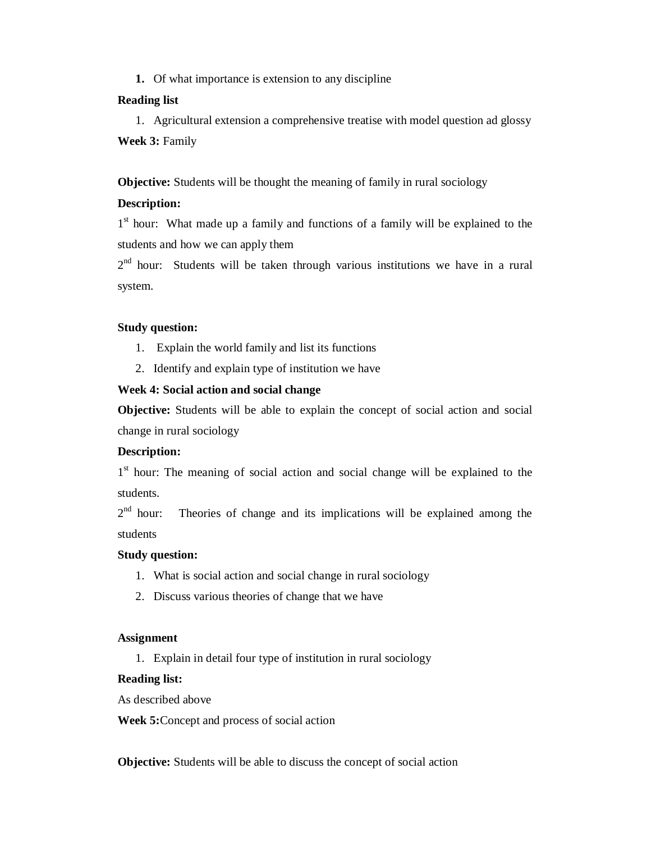## **1.** Of what importance is extension to any discipline

## **Reading list**

1. Agricultural extension a comprehensive treatise with model question ad glossy **Week 3:** Family

**Objective:** Students will be thought the meaning of family in rural sociology

## **Description:**

1<sup>st</sup> hour: What made up a family and functions of a family will be explained to the students and how we can apply them

 $2<sup>nd</sup>$  hour: Students will be taken through various institutions we have in a rural system.

## **Study question:**

- 1. Explain the world family and list its functions
- 2. Identify and explain type of institution we have

## **Week 4: Social action and social change**

**Objective:** Students will be able to explain the concept of social action and social change in rural sociology

## **Description:**

1<sup>st</sup> hour: The meaning of social action and social change will be explained to the students.

 $2<sup>nd</sup>$  hour: Theories of change and its implications will be explained among the students

## **Study question:**

- 1. What is social action and social change in rural sociology
- 2. Discuss various theories of change that we have

## **Assignment**

1. Explain in detail four type of institution in rural sociology

## **Reading list:**

As described above

**Week 5:**Concept and process of social action

**Objective:** Students will be able to discuss the concept of social action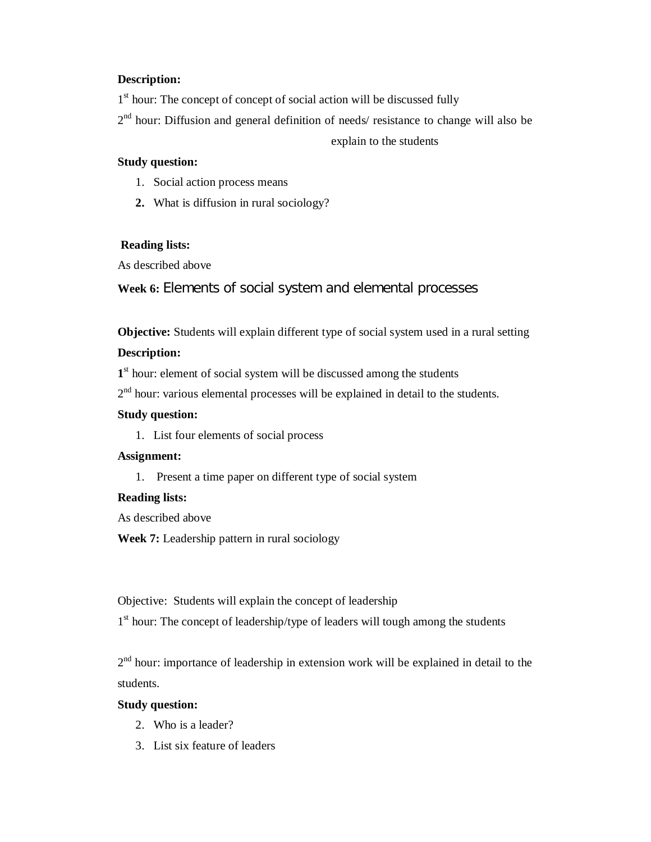## **Description:**

1<sup>st</sup> hour: The concept of concept of social action will be discussed fully

 $2<sup>nd</sup>$  hour: Diffusion and general definition of needs/ resistance to change will also be

explain to the students

## **Study question:**

- 1. Social action process means
- **2.** What is diffusion in rural sociology?

## **Reading lists:**

As described above

**Week 6:** Elements of social system and elemental processes

**Objective:** Students will explain different type of social system used in a rural setting

## **Description:**

1<sup>st</sup> hour: element of social system will be discussed among the students

 $2<sup>nd</sup>$  hour: various elemental processes will be explained in detail to the students.

## **Study question:**

1. List four elements of social process

## **Assignment:**

1. Present a time paper on different type of social system

## **Reading lists:**

As described above

**Week 7:** Leadership pattern in rural sociology

Objective: Students will explain the concept of leadership

1<sup>st</sup> hour: The concept of leadership/type of leaders will tough among the students

 $2<sup>nd</sup>$  hour: importance of leadership in extension work will be explained in detail to the students.

## **Study question:**

- 2. Who is a leader?
- 3. List six feature of leaders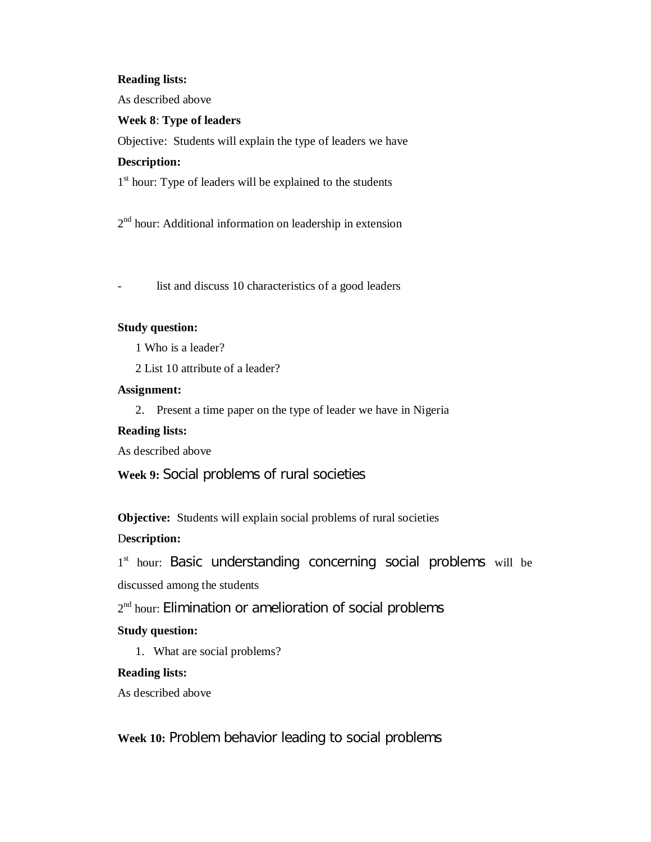#### **Reading lists:**

As described above

#### **Week 8**: **Type of leaders**

Objective: Students will explain the type of leaders we have

## **Description:**

1<sup>st</sup> hour: Type of leaders will be explained to the students

2<sup>nd</sup> hour: Additional information on leadership in extension

- list and discuss 10 characteristics of a good leaders

## **Study question:**

1 Who is a leader?

2 List 10 attribute of a leader?

#### **Assignment:**

2. Present a time paper on the type of leader we have in Nigeria

#### **Reading lists:**

As described above

**Week 9:** Social problems of rural societies

**Objective:** Students will explain social problems of rural societies

## D**escription:**

1st hour: Basic understanding concerning social problems will be discussed among the students

2<sup>nd</sup> hour: Elimination or amelioration of social problems

## **Study question:**

1. What are social problems?

## **Reading lists:**

As described above

**Week 10:** Problem behavior leading to social problems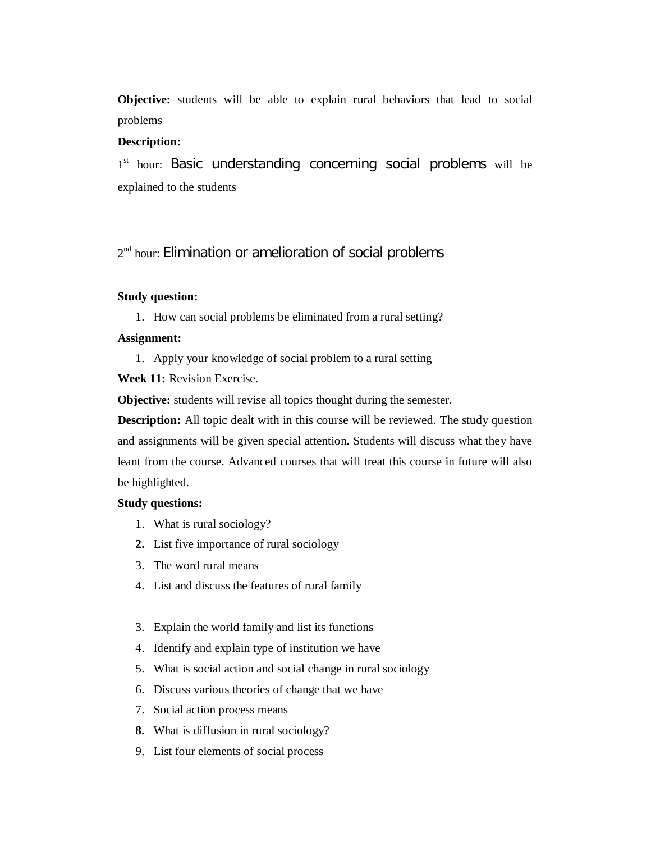**Objective:** students will be able to explain rural behaviors that lead to social problems

## **Description:**

1st hour: Basic understanding concerning social problems will be explained to the students

2<sup>nd</sup> hour: Elimination or amelioration of social problems

#### **Study question:**

1. How can social problems be eliminated from a rural setting?

#### **Assignment:**

1. Apply your knowledge of social problem to a rural setting

**Week 11:** Revision Exercise.

**Objective:** students will revise all topics thought during the semester.

**Description:** All topic dealt with in this course will be reviewed. The study question and assignments will be given special attention. Students will discuss what they have leant from the course. Advanced courses that will treat this course in future will also be highlighted.

## **Study questions:**

- 1. What is rural sociology?
- **2.** List five importance of rural sociology
- 3. The word rural means
- 4. List and discuss the features of rural family
- 3. Explain the world family and list its functions
- 4. Identify and explain type of institution we have
- 5. What is social action and social change in rural sociology
- 6. Discuss various theories of change that we have
- 7. Social action process means
- **8.** What is diffusion in rural sociology?
- 9. List four elements of social process